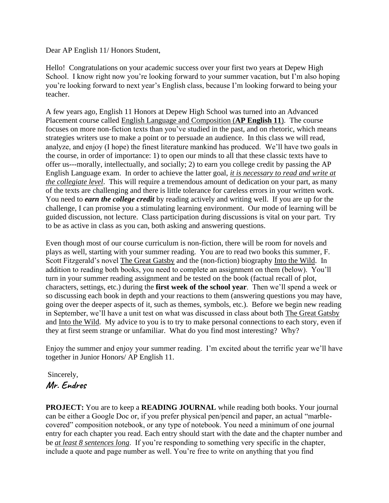Dear AP English 11/ Honors Student,

Hello! Congratulations on your academic success over your first two years at Depew High School. I know right now you're looking forward to your summer vacation, but I'm also hoping you're looking forward to next year's English class, because I'm looking forward to being your teacher.

A few years ago, English 11 Honors at Depew High School was turned into an Advanced Placement course called English Language and Composition (**AP English 11**). The course focuses on more non-fiction texts than you've studied in the past, and on rhetoric, which means strategies writers use to make a point or to persuade an audience. In this class we will read, analyze, and enjoy (I hope) the finest literature mankind has produced. We'll have two goals in the course, in order of importance: 1) to open our minds to all that these classic texts have to offer us---morally, intellectually, and socially; 2) to earn you college credit by passing the AP English Language exam. In order to achieve the latter goal, *it is necessary to read and write at the collegiate level*. This will require a tremendous amount of dedication on your part, as many of the texts are challenging and there is little tolerance for careless errors in your written work. You need to *earn the college credit* by reading actively and writing well. If you are up for the challenge, I can promise you a stimulating learning environment. Our mode of learning will be guided discussion, not lecture. Class participation during discussions is vital on your part. Try to be as active in class as you can, both asking and answering questions.

Even though most of our course curriculum is non-fiction, there will be room for novels and plays as well, starting with your summer reading. You are to read two books this summer, F. Scott Fitzgerald's novel The Great Gatsby and the (non-fiction) biography Into the Wild. In addition to reading both books, you need to complete an assignment on them (below). You'll turn in your summer reading assignment and be tested on the book (factual recall of plot, characters, settings, etc.) during the **first week of the school year**. Then we'll spend a week or so discussing each book in depth and your reactions to them (answering questions you may have, going over the deeper aspects of it, such as themes, symbols, etc.). Before we begin new reading in September, we'll have a unit test on what was discussed in class about both The Great Gatsby and Into the Wild. My advice to you is to try to make personal connections to each story, even if they at first seem strange or unfamiliar. What do you find most interesting? Why?

Enjoy the summer and enjoy your summer reading. I'm excited about the terrific year we'll have together in Junior Honors/ AP English 11.

## Sincerely, **Mr. Endres**

**PROJECT:** You are to keep a **READING JOURNAL** while reading both books. Your journal can be either a Google Doc or, if you prefer physical pen/pencil and paper, an actual "marblecovered" composition notebook, or any type of notebook. You need a minimum of one journal entry for each chapter you read. Each entry should start with the date and the chapter number and be *at least 8 sentences long*. If you're responding to something very specific in the chapter, include a quote and page number as well. You're free to write on anything that you find